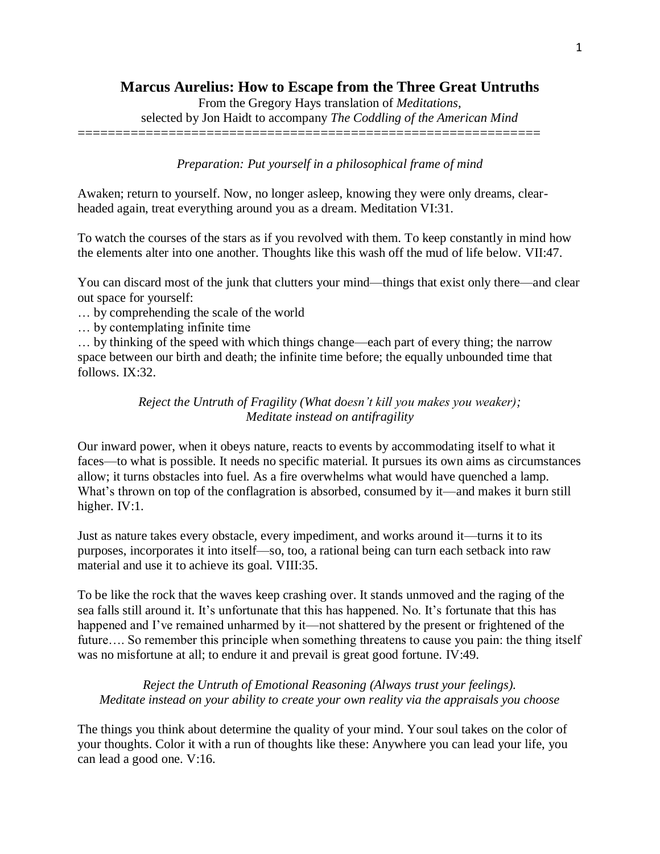## **Marcus Aurelius: How to Escape from the Three Great Untruths**

From the Gregory Hays translation of *Meditations*,

selected by Jon Haidt to accompany *The Coddling of the American Mind* =============================================================

## *Preparation: Put yourself in a philosophical frame of mind*

Awaken; return to yourself. Now, no longer asleep, knowing they were only dreams, clearheaded again, treat everything around you as a dream. Meditation VI:31.

To watch the courses of the stars as if you revolved with them. To keep constantly in mind how the elements alter into one another. Thoughts like this wash off the mud of life below. VII:47.

You can discard most of the junk that clutters your mind—things that exist only there—and clear out space for yourself:

… by comprehending the scale of the world

… by contemplating infinite time

… by thinking of the speed with which things change—each part of every thing; the narrow space between our birth and death; the infinite time before; the equally unbounded time that follows. IX:32.

> *Reject the Untruth of Fragility (What doesn't kill you makes you weaker); Meditate instead on antifragility*

Our inward power, when it obeys nature, reacts to events by accommodating itself to what it faces—to what is possible. It needs no specific material. It pursues its own aims as circumstances allow; it turns obstacles into fuel. As a fire overwhelms what would have quenched a lamp. What's thrown on top of the conflagration is absorbed, consumed by it—and makes it burn still higher. IV:1.

Just as nature takes every obstacle, every impediment, and works around it—turns it to its purposes, incorporates it into itself—so, too, a rational being can turn each setback into raw material and use it to achieve its goal. VIII:35.

To be like the rock that the waves keep crashing over. It stands unmoved and the raging of the sea falls still around it. It's unfortunate that this has happened. No. It's fortunate that this has happened and I've remained unharmed by it—not shattered by the present or frightened of the future.... So remember this principle when something threatens to cause you pain: the thing itself was no misfortune at all; to endure it and prevail is great good fortune. IV:49.

*Reject the Untruth of Emotional Reasoning (Always trust your feelings). Meditate instead on your ability to create your own reality via the appraisals you choose*

The things you think about determine the quality of your mind. Your soul takes on the color of your thoughts. Color it with a run of thoughts like these: Anywhere you can lead your life, you can lead a good one. V:16.